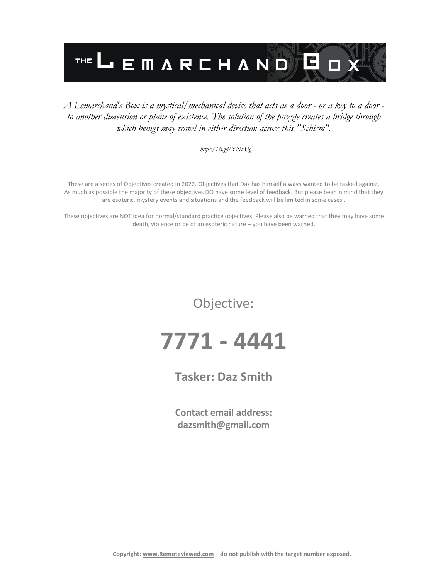

#### *A Lemarchand's Box is a mystical/mechanical device that acts as a door - or a key to a door to another dimension or plane of existence. The solution of the puzzle creates a bridge through which beings may travel in either direction across this "Schism".*

#### *- <https://is.gd/YNleUg>*

These are a series of Objectives created in 2022. Objectives that Daz has himself always wanted to be tasked against. As much as possible the majority of these objectives DO have some level of feedback. But please bear in mind that they are esoteric, mystery events and situations and the feedback will be limited in some cases..

These objectives are NOT idea for normal/standard practice objectives. Please also be warned that they may have some death, violence or be of an esoteric nature – you have been warned.

Objective:

# **7771 - 4441**

**Tasker: Daz Smith**

**Contact email address: [dazsmith@gmail.com](mailto:dazsmith@gmail.com)**